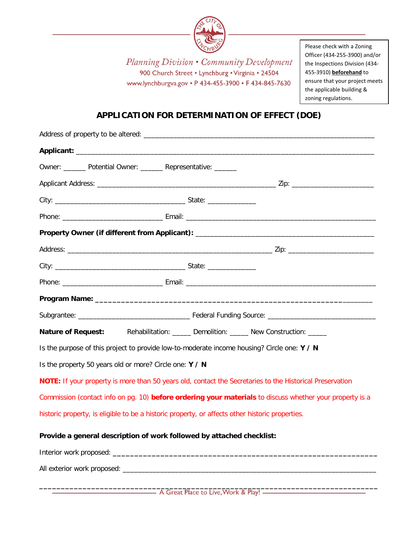

Planning Division • Community Development 900 Church Street . Lynchburg . Virginia . 24504 www.lynchburgva.gov • P 434-455-3900 • F 434-845-7630

Please check with a Zoning Officer (434-255-3900) and/or the Inspections Division (434- 455-3910) **beforehand** to ensure that your project meets the applicable building & zoning regulations.

# **APPLICATION FOR DETERMINATION OF EFFECT (DOE)**

| Owner: _______ Potential Owner: ______ Representative: ______                                            |                                                                                                          |  |  |  |
|----------------------------------------------------------------------------------------------------------|----------------------------------------------------------------------------------------------------------|--|--|--|
|                                                                                                          |                                                                                                          |  |  |  |
|                                                                                                          |                                                                                                          |  |  |  |
|                                                                                                          |                                                                                                          |  |  |  |
|                                                                                                          |                                                                                                          |  |  |  |
|                                                                                                          |                                                                                                          |  |  |  |
|                                                                                                          |                                                                                                          |  |  |  |
|                                                                                                          |                                                                                                          |  |  |  |
|                                                                                                          |                                                                                                          |  |  |  |
|                                                                                                          |                                                                                                          |  |  |  |
| Nature of Request: Rehabilitation: _____ Demolition: _____ New Construction: ____                        |                                                                                                          |  |  |  |
| Is the purpose of this project to provide low-to-moderate income housing? Circle one: Y / N              |                                                                                                          |  |  |  |
| Is the property 50 years old or more? Circle one: Y / N                                                  |                                                                                                          |  |  |  |
|                                                                                                          | NOTE: If your property is more than 50 years old, contact the Secretaries to the Historical Preservation |  |  |  |
| Commission (contact info on pg. 10) before ordering your materials to discuss whether your property is a |                                                                                                          |  |  |  |
| historic property, is eligible to be a historic property, or affects other historic properties.          |                                                                                                          |  |  |  |
| Provide a general description of work followed by attached checklist:                                    |                                                                                                          |  |  |  |
|                                                                                                          |                                                                                                          |  |  |  |
|                                                                                                          |                                                                                                          |  |  |  |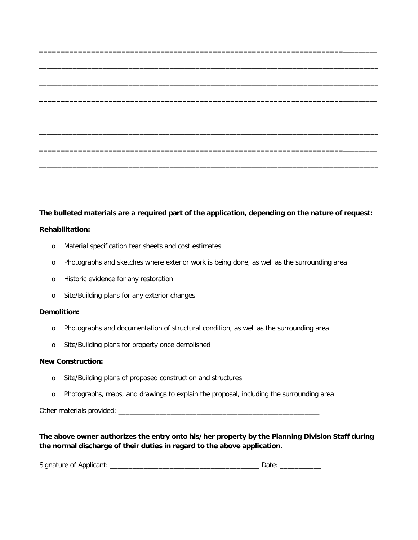### **The bulleted materials are a required part of the application, depending on the nature of request:**

**\_\_\_\_\_\_\_\_\_\_\_\_\_\_\_\_\_\_\_\_\_\_\_\_\_\_\_\_\_\_\_\_\_\_\_\_\_\_\_\_\_\_\_\_\_\_\_\_\_\_\_\_\_\_\_\_\_\_\_\_\_\_\_\_\_\_\_\_\_\_**\_\_\_\_\_\_\_\_\_

\_\_\_\_\_\_\_\_\_\_\_\_\_\_\_\_\_\_\_\_\_\_\_\_\_\_\_\_\_\_\_\_\_\_\_\_\_\_\_\_\_\_\_\_\_\_\_\_\_\_\_\_\_\_\_\_\_\_\_\_\_\_\_\_\_\_\_\_\_\_\_\_\_\_\_\_\_\_\_\_\_\_\_\_\_\_\_\_\_\_\_

\_\_\_\_\_\_\_\_\_\_\_\_\_\_\_\_\_\_\_\_\_\_\_\_\_\_\_\_\_\_\_\_\_\_\_\_\_\_\_\_\_\_\_\_\_\_\_\_\_\_\_\_\_\_\_\_\_\_\_\_\_\_\_\_\_\_\_\_\_\_\_\_\_\_\_\_\_\_\_\_\_\_\_\_\_\_\_\_\_\_\_

**\_\_\_\_\_\_\_\_\_\_\_\_\_\_\_\_\_\_\_\_\_\_\_\_\_\_\_\_\_\_\_\_\_\_\_\_\_\_\_\_\_\_\_\_\_\_\_\_\_\_\_\_\_\_\_\_\_\_\_\_\_\_\_\_\_\_\_\_\_\_**\_\_\_\_\_\_\_\_\_

\_\_\_\_\_\_\_\_\_\_\_\_\_\_\_\_\_\_\_\_\_\_\_\_\_\_\_\_\_\_\_\_\_\_\_\_\_\_\_\_\_\_\_\_\_\_\_\_\_\_\_\_\_\_\_\_\_\_\_\_\_\_\_\_\_\_\_\_\_\_\_\_\_\_\_\_\_\_\_\_\_\_\_\_\_\_\_\_\_\_\_

\_\_\_\_\_\_\_\_\_\_\_\_\_\_\_\_\_\_\_\_\_\_\_\_\_\_\_\_\_\_\_\_\_\_\_\_\_\_\_\_\_\_\_\_\_\_\_\_\_\_\_\_\_\_\_\_\_\_\_\_\_\_\_\_\_\_\_\_\_\_\_\_\_\_\_\_\_\_\_\_\_\_\_\_\_\_\_\_\_\_\_

**\_\_\_\_\_\_\_\_\_\_\_\_\_\_\_\_\_\_\_\_\_\_\_\_\_\_\_\_\_\_\_\_\_\_\_\_\_\_\_\_\_\_\_\_\_\_\_\_\_\_\_\_\_\_\_\_\_\_\_\_\_\_\_\_\_\_\_\_\_\_**\_\_\_\_\_\_\_\_\_

\_\_\_\_\_\_\_\_\_\_\_\_\_\_\_\_\_\_\_\_\_\_\_\_\_\_\_\_\_\_\_\_\_\_\_\_\_\_\_\_\_\_\_\_\_\_\_\_\_\_\_\_\_\_\_\_\_\_\_\_\_\_\_\_\_\_\_\_\_\_\_\_\_\_\_\_\_\_\_\_\_\_\_\_\_\_\_\_\_\_\_

\_\_\_\_\_\_\_\_\_\_\_\_\_\_\_\_\_\_\_\_\_\_\_\_\_\_\_\_\_\_\_\_\_\_\_\_\_\_\_\_\_\_\_\_\_\_\_\_\_\_\_\_\_\_\_\_\_\_\_\_\_\_\_\_\_\_\_\_\_\_\_\_\_\_\_\_\_\_\_\_\_\_\_\_\_\_\_\_\_\_\_

#### **Rehabilitation:**

- o Material specification tear sheets and cost estimates
- o Photographs and sketches where exterior work is being done, as well as the surrounding area
- o Historic evidence for any restoration
- o Site/Building plans for any exterior changes

#### **Demolition:**

- o Photographs and documentation of structural condition, as well as the surrounding area
- o Site/Building plans for property once demolished

#### **New Construction:**

- o Site/Building plans of proposed construction and structures
- o Photographs, maps, and drawings to explain the proposal, including the surrounding area

Other materials provided: \_\_\_\_\_\_\_\_\_\_\_\_\_\_\_\_\_\_\_\_\_\_\_\_\_\_\_\_\_\_\_\_\_\_\_\_\_\_\_\_\_\_\_\_\_\_\_\_\_\_\_\_\_\_

**The above owner authorizes the entry onto his/her property by the Planning Division Staff during the normal discharge of their duties in regard to the above application.**

Signature of Applicant: \_\_\_\_\_\_\_\_\_\_\_\_\_\_\_\_\_\_\_\_\_\_\_\_\_\_\_\_\_\_\_\_\_\_\_\_\_\_\_\_ Date: \_\_\_\_\_\_\_\_\_\_\_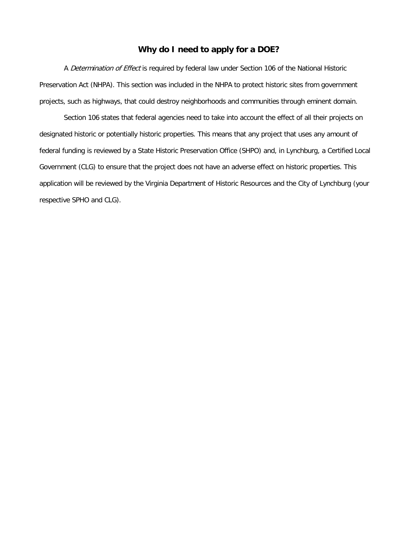### **Why do I need to apply for a DOE?**

A *Determination of Effect* is required by federal law under Section 106 of the National Historic Preservation Act (NHPA). This section was included in the NHPA to protect historic sites from government projects, such as highways, that could destroy neighborhoods and communities through eminent domain.

Section 106 states that federal agencies need to take into account the effect of all their projects on designated historic or potentially historic properties. This means that any project that uses any amount of federal funding is reviewed by a State Historic Preservation Office (SHPO) and, in Lynchburg, a Certified Local Government (CLG) to ensure that the project does not have an adverse effect on historic properties. This application will be reviewed by the Virginia Department of Historic Resources and the City of Lynchburg (your respective SPHO and CLG).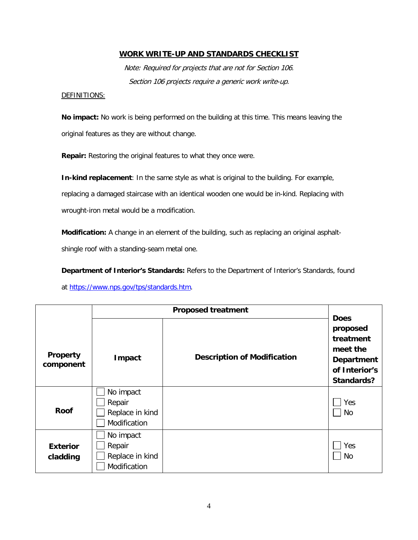### **WORK WRITE-UP AND STANDARDS CHECKLIST**

Note: Required for projects that are not for Section 106. Section 106 projects require a generic work write-up.

#### DEFINITIONS:

**No impact:** No work is being performed on the building at this time. This means leaving the original features as they are without change.

**Repair:** Restoring the original features to what they once were.

**In-kind replacement**: In the same style as what is original to the building. For example, replacing a damaged staircase with an identical wooden one would be in-kind. Replacing with wrought-iron metal would be a modification.

**Modification:** A change in an element of the building, such as replacing an original asphalt-

shingle roof with a standing-seam metal one.

**Department of Interior's Standards:** Refers to the Department of Interior's Standards, found

at [https://www.nps.gov/tps/standards.htm.](https://www.nps.gov/tps/standards.htm)

|                 |                 | <b>Does</b>                        |                      |
|-----------------|-----------------|------------------------------------|----------------------|
|                 |                 |                                    | proposed             |
|                 |                 |                                    | treatment            |
|                 |                 |                                    | meet the             |
| Property        | Impact          | <b>Description of Modification</b> | <b>Department</b>    |
| component       |                 |                                    | of Interior's        |
|                 |                 |                                    | Standards?           |
|                 | No impact       |                                    |                      |
|                 | Repair          |                                    | Yes                  |
| <b>Roof</b>     | Replace in kind |                                    | No<br>$\blacksquare$ |
|                 | Modification    |                                    |                      |
|                 | No impact       |                                    |                      |
| <b>Exterior</b> | Repair          |                                    | Yes                  |
| cladding        | Replace in kind |                                    | No                   |
|                 | Modification    |                                    |                      |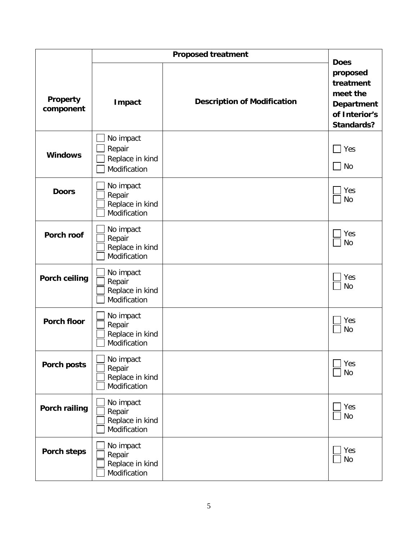| Property<br>component | <b>Impact</b>                                          | <b>Description of Modification</b> | <b>Does</b><br>proposed<br>treatment<br>meet the<br><b>Department</b><br>of Interior's<br><b>Standards?</b> |
|-----------------------|--------------------------------------------------------|------------------------------------|-------------------------------------------------------------------------------------------------------------|
| <b>Windows</b>        | No impact<br>Repair<br>Replace in kind<br>Modification |                                    | Yes<br>    No                                                                                               |
| <b>Doors</b>          | No impact<br>Repair<br>Replace in kind<br>Modification |                                    | Yes<br><b>No</b>                                                                                            |
| Porch roof            | No impact<br>Repair<br>Replace in kind<br>Modification |                                    | Yes<br><b>No</b>                                                                                            |
| <b>Porch ceiling</b>  | No impact<br>Repair<br>Replace in kind<br>Modification |                                    | Yes<br><b>No</b>                                                                                            |
| <b>Porch floor</b>    | No impact<br>Repair<br>Replace in kind<br>Modification |                                    | Yes<br><b>No</b>                                                                                            |
| Porch posts           | No impact<br>Repair<br>Replace in kind<br>Modification |                                    | Yes<br><b>No</b>                                                                                            |
| <b>Porch railing</b>  | No impact<br>Repair<br>Replace in kind<br>Modification |                                    | Yes<br><b>No</b>                                                                                            |
| <b>Porch steps</b>    | No impact<br>Repair<br>Replace in kind<br>Modification |                                    | Yes<br><b>No</b>                                                                                            |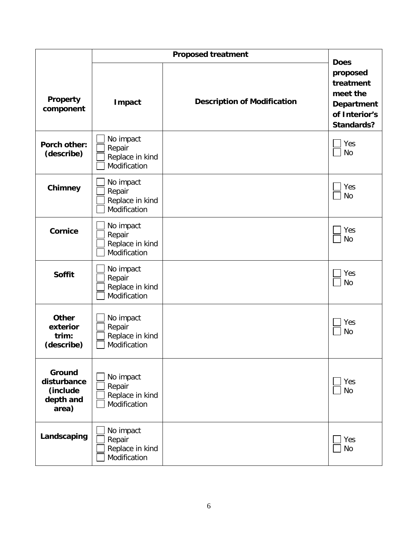| Property<br>component                                   | Impact                                                 | <b>Description of Modification</b> | <b>Does</b><br>proposed<br>treatment<br>meet the<br><b>Department</b><br>of Interior's<br><b>Standards?</b> |
|---------------------------------------------------------|--------------------------------------------------------|------------------------------------|-------------------------------------------------------------------------------------------------------------|
| Porch other:<br>(describe)                              | No impact<br>Repair<br>Replace in kind<br>Modification |                                    | Yes<br><b>No</b>                                                                                            |
| Chimney                                                 | No impact<br>Repair<br>Replace in kind<br>Modification |                                    | Yes<br><b>No</b>                                                                                            |
| <b>Cornice</b>                                          | No impact<br>Repair<br>Replace in kind<br>Modification |                                    | Yes<br><b>No</b>                                                                                            |
| <b>Soffit</b>                                           | No impact<br>Repair<br>Replace in kind<br>Modification |                                    | Yes<br><b>No</b>                                                                                            |
| <b>Other</b><br>exterior<br>trim:<br>(describe)         | No impact<br>Repair<br>Replace in kind<br>Modification |                                    | Yes<br><b>No</b>                                                                                            |
| Ground<br>disturbance<br>(include<br>depth and<br>area) | No impact<br>Repair<br>Replace in kind<br>Modification |                                    | Yes<br><b>No</b>                                                                                            |
| Landscaping                                             | No impact<br>Repair<br>Replace in kind<br>Modification |                                    | Yes<br><b>No</b>                                                                                            |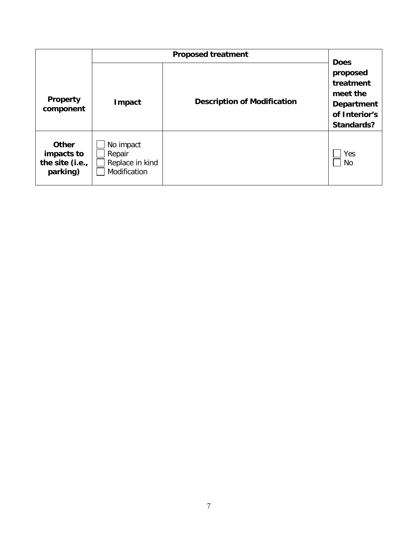| <b>Property</b><br>component                              | Impact                                                 | <b>Description of Modification</b> | <b>Does</b><br>proposed<br>treatment<br>meet the<br><b>Department</b><br>of Interior's<br>Standards? |
|-----------------------------------------------------------|--------------------------------------------------------|------------------------------------|------------------------------------------------------------------------------------------------------|
| <b>Other</b><br>impacts to<br>the site (i.e.,<br>parking) | No impact<br>Repair<br>Replace in kind<br>Modification |                                    | Yes<br>No                                                                                            |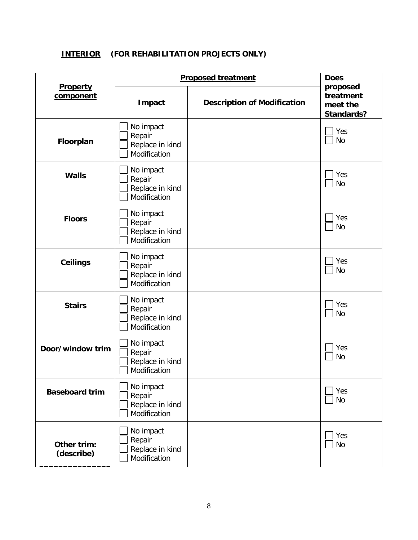# **INTERIOR (FOR REHABILITATION PROJECTS ONLY)**

|                           | <b>Proposed treatment</b>                              |                                    | <b>Does</b>                                            |
|---------------------------|--------------------------------------------------------|------------------------------------|--------------------------------------------------------|
| Property<br>component     | Impact                                                 | <b>Description of Modification</b> | proposed<br>treatment<br>meet the<br><b>Standards?</b> |
| Floorplan                 | No impact<br>Repair<br>Replace in kind<br>Modification |                                    | Yes<br><b>No</b>                                       |
| <b>Walls</b>              | No impact<br>Repair<br>Replace in kind<br>Modification |                                    | Yes<br><b>No</b>                                       |
| <b>Floors</b>             | No impact<br>Repair<br>Replace in kind<br>Modification |                                    | Yes<br><b>No</b>                                       |
| <b>Ceilings</b>           | No impact<br>Repair<br>Replace in kind<br>Modification |                                    | Yes<br><b>No</b>                                       |
| <b>Stairs</b>             | No impact<br>Repair<br>Replace in kind<br>Modification |                                    | Yes<br><b>No</b>                                       |
| Door/window trim          | No impact<br>Repair<br>Replace in kind<br>Modification |                                    | Yes<br><b>No</b>                                       |
| <b>Baseboard trim</b>     | No impact<br>Repair<br>Replace in kind<br>Modification |                                    | Yes<br><b>No</b>                                       |
| Other trim:<br>(describe) | No impact<br>Repair<br>Replace in kind<br>Modification |                                    | Yes<br><b>No</b>                                       |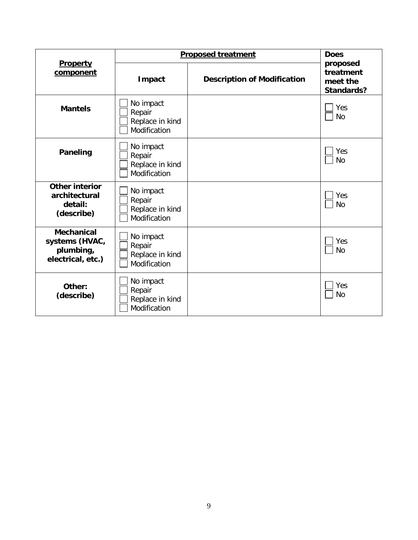|                                                                       | <b>Proposed treatment</b>                              |                                    | <b>Does</b>                                            |
|-----------------------------------------------------------------------|--------------------------------------------------------|------------------------------------|--------------------------------------------------------|
| Property<br>component                                                 | Impact                                                 | <b>Description of Modification</b> | proposed<br>treatment<br>meet the<br><b>Standards?</b> |
| <b>Mantels</b>                                                        | No impact<br>Repair<br>Replace in kind<br>Modification |                                    | Yes<br><b>No</b>                                       |
| <b>Paneling</b>                                                       | No impact<br>Repair<br>Replace in kind<br>Modification |                                    | Yes<br><b>No</b>                                       |
| <b>Other interior</b><br>architectural<br>detail:<br>(describe)       | No impact<br>Repair<br>Replace in kind<br>Modification |                                    | Yes<br><b>No</b>                                       |
| <b>Mechanical</b><br>systems (HVAC,<br>plumbing,<br>electrical, etc.) | No impact<br>Repair<br>Replace in kind<br>Modification |                                    | Yes<br><b>No</b>                                       |
| Other:<br>(describe)                                                  | No impact<br>Repair<br>Replace in kind<br>Modification |                                    | Yes<br><b>No</b>                                       |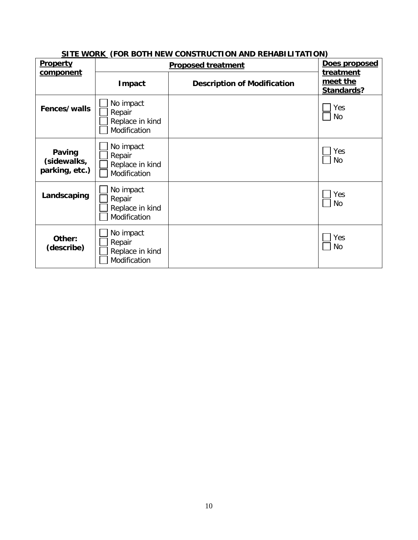| Property                                | <u>SITE WORK (FOR DOTH NEW CONSTRUCTION AND REHABILITATION)</u><br><b>Proposed treatment</b> | Does proposed                      |                                     |
|-----------------------------------------|----------------------------------------------------------------------------------------------|------------------------------------|-------------------------------------|
| component                               | Impact                                                                                       | <b>Description of Modification</b> | treatment<br>meet the<br>Standards? |
| Fences/walls                            | No impact<br>Repair<br>Replace in kind<br>Modification                                       |                                    | Yes<br>No                           |
| Paving<br>(sidewalks,<br>parking, etc.) | No impact<br>Repair<br>Replace in kind<br>Modification                                       |                                    | Yes<br>No                           |
| Landscaping                             | No impact<br>Repair<br>Replace in kind<br>Modification                                       |                                    | Yes<br>No                           |
| Other:<br>(describe)                    | No impact<br>Repair<br>Replace in kind<br>Modification                                       |                                    | Yes<br>No                           |

## **SITE WORK (FOR BOTH NEW CONSTRUCTION AND REHABILITATION)**